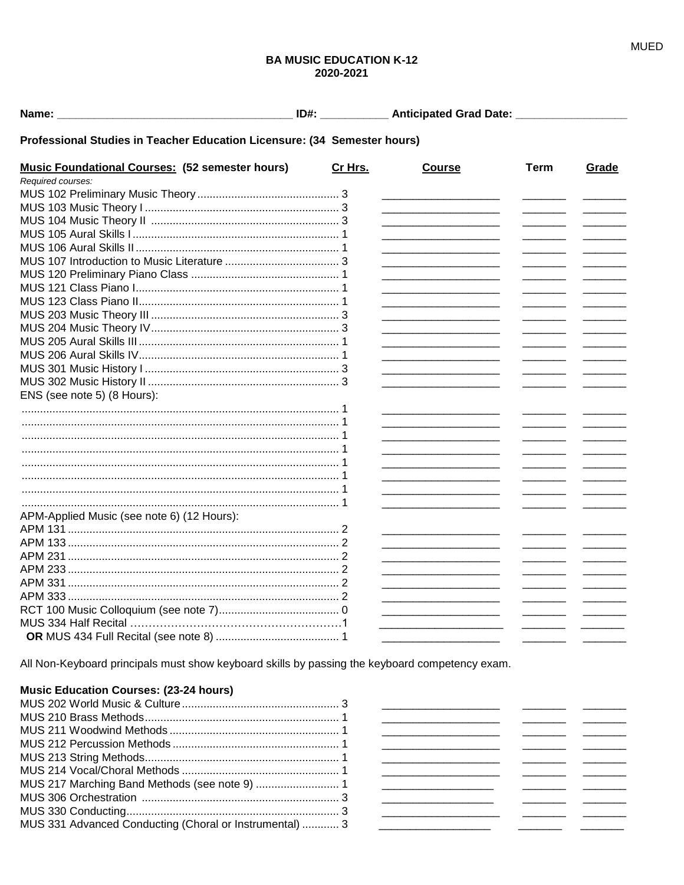## **BA MUSIC EDUCATION K-12** 2020-2021

## Professional Studies in Teacher Education Licensure: (34 Semester hours)

| <b>Music Foundational Courses: (52 semester hours)</b> | Cr Hrs. | <b>Course</b>                                                                                                        | <b>Term</b> | Grade |
|--------------------------------------------------------|---------|----------------------------------------------------------------------------------------------------------------------|-------------|-------|
| Required courses:                                      |         |                                                                                                                      |             |       |
|                                                        |         |                                                                                                                      |             |       |
|                                                        |         |                                                                                                                      |             |       |
|                                                        |         |                                                                                                                      |             |       |
|                                                        |         |                                                                                                                      |             |       |
|                                                        |         |                                                                                                                      |             |       |
|                                                        |         | <u> 1980 - Johann Barbara, martin da basar a shekara tsa 1980 - An tsa 1980 - An tsa 1980 - An tsa 1980 - An tsa</u> |             |       |
|                                                        |         | <u> 1980 - Johann Barbara, martin da basar a shekara tsa a tsarar 1980 a tsa a tsarar 1980 a tsa a tsarar 1980 a</u> |             |       |
|                                                        |         | <u> 1989 - Johann John Stone, market fan it ferstjer fan it ferstjer fan it ferstjer fan it ferstjer fan it fers</u> |             |       |
|                                                        |         |                                                                                                                      |             |       |
|                                                        |         | the control of the control of the control of the control of the control of                                           |             |       |
|                                                        |         |                                                                                                                      |             |       |
|                                                        |         |                                                                                                                      |             |       |
|                                                        |         |                                                                                                                      |             |       |
|                                                        |         |                                                                                                                      |             |       |
|                                                        |         |                                                                                                                      |             |       |
| ENS (see note 5) (8 Hours):                            |         |                                                                                                                      |             |       |
|                                                        |         |                                                                                                                      |             |       |
|                                                        |         |                                                                                                                      |             |       |
|                                                        |         |                                                                                                                      |             |       |
|                                                        |         | <u> 1989 - Johann Barn, mars an t-Amerikaansk ferskeizh (</u>                                                        |             |       |
|                                                        |         | the control of the control of the control of the control of the control of the control of                            |             |       |
|                                                        |         | <u> 1989 - Johann Barn, mars an t-Amerikaansk kommunister (</u>                                                      |             |       |
|                                                        |         | <u> 1989 - Johann Barbara, martin amerikan per</u>                                                                   |             |       |
|                                                        |         |                                                                                                                      |             |       |
| APM-Applied Music (see note 6) (12 Hours):             |         |                                                                                                                      |             |       |
|                                                        |         |                                                                                                                      |             |       |
|                                                        |         |                                                                                                                      |             |       |
|                                                        |         |                                                                                                                      |             |       |
|                                                        |         | <u> 2000 - Jan James Barnett, fransk politik (d. 1982)</u>                                                           |             |       |
|                                                        |         |                                                                                                                      |             |       |
|                                                        |         |                                                                                                                      |             |       |
|                                                        |         |                                                                                                                      |             |       |
|                                                        |         |                                                                                                                      |             |       |
|                                                        |         |                                                                                                                      |             |       |

All Non-Keyboard principals must show keyboard skills by passing the keyboard competency exam.

# **Music Education Courses: (23-24 hours)**

| MUS 331 Advanced Conducting (Choral or Instrumental)  3 |  |
|---------------------------------------------------------|--|